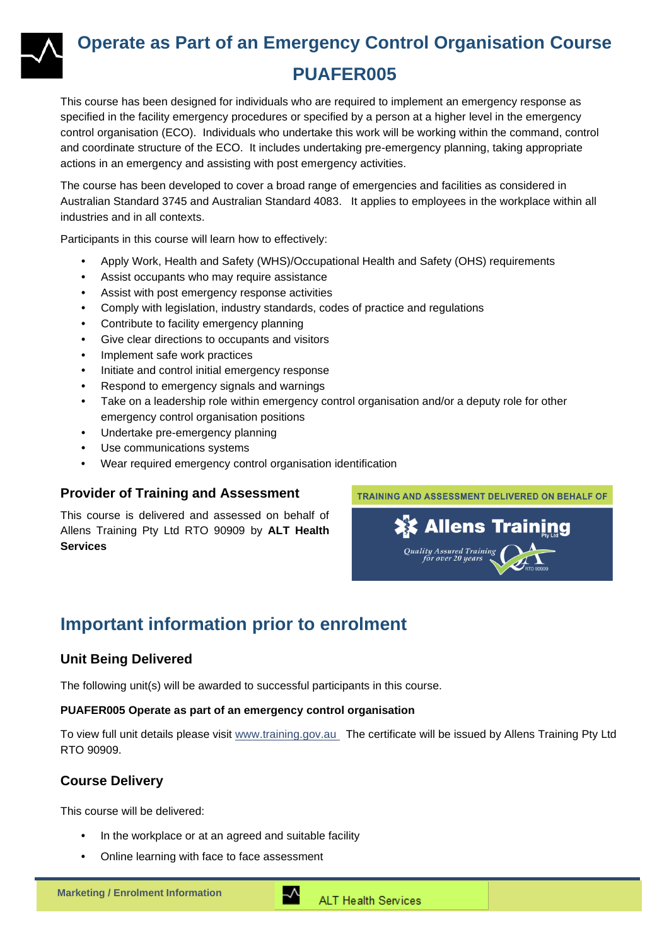

## **Operate as Part of an Emergency Control Organisation Course PUAFER005**

This course has been designed for individuals who are required to implement an emergency response as specified in the facility emergency procedures or specified by a person at a higher level in the emergency control organisation (ECO). Individuals who undertake this work will be working within the command, control and coordinate structure of the ECO. It includes undertaking pre-emergency planning, taking appropriate actions in an emergency and assisting with post emergency activities.

The course has been developed to cover a broad range of emergencies and facilities as considered in Australian Standard 3745 and Australian Standard 4083. It applies to employees in the workplace within all industries and in all contexts.

Participants in this course will learn how to effectively:

- Apply Work, Health and Safety (WHS)/Occupational Health and Safety (OHS) requirements
- Assist occupants who may require assistance
- Assist with post emergency response activities
- Comply with legislation, industry standards, codes of practice and regulations
- Contribute to facility emergency planning
- Give clear directions to occupants and visitors
- Implement safe work practices
- Initiate and control initial emergency response
- Respond to emergency signals and warnings
- Take on a leadership role within emergency control organisation and/or a deputy role for other emergency control organisation positions
- Undertake pre-emergency planning
- Use communications systems
- Wear required emergency control organisation identification

#### **Provider of Training and Assessment**

This course is delivered and assessed on behalf of Allens Training Pty Ltd RTO 90909 by **ALT Health Services**



### **Important information prior to enrolment**

#### **Unit Being Delivered**

The following unit(s) will be awarded to successful participants in this course.

#### **PUAFER005 Operate as part of an emergency control organisation**

To view full unit details please visit [www.training.gov.au](https://training.gov.au/Training/Details/PUAFER005) The certificate will be issued by Allens Training Pty Ltd RTO 90909.

#### **Course Delivery**

This course will be delivered:

- In the workplace or at an agreed and suitable facility
- Online learning with face to face assessment

∽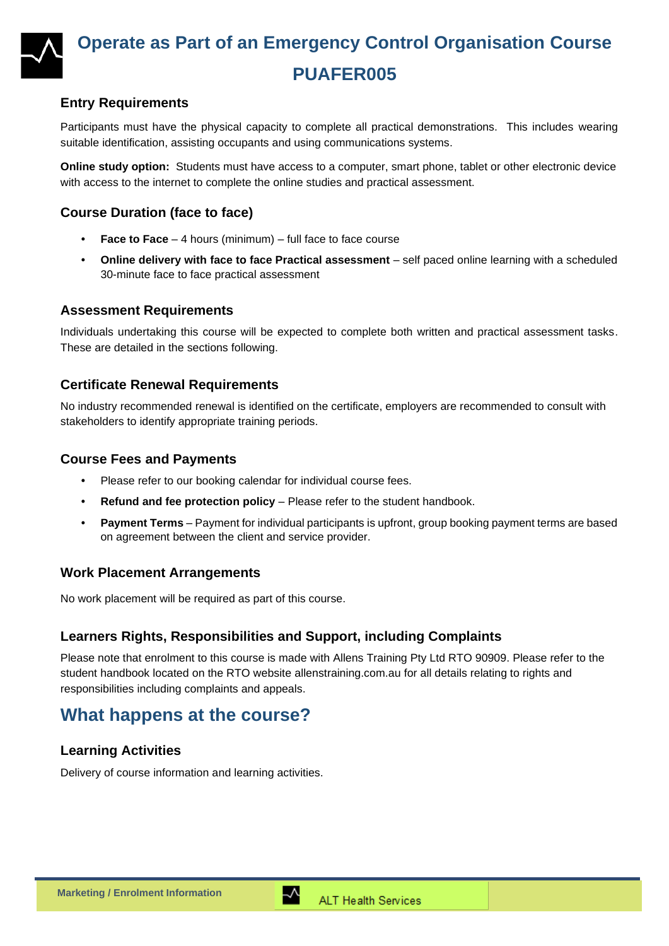

## **Operate as Part of an Emergency Control Organisation Course PUAFER005**

### **Entry Requirements**

Participants must have the physical capacity to complete all practical demonstrations. This includes wearing suitable identification, assisting occupants and using communications systems.

**Online study option:** Students must have access to a computer, smart phone, tablet or other electronic device with access to the internet to complete the online studies and practical assessment.

#### **Course Duration (face to face)**

- **Face to Face** 4 hours (minimum) full face to face course
- **Online delivery with face to face Practical assessment** self paced online learning with a scheduled 30-minute face to face practical assessment

#### **Assessment Requirements**

Individuals undertaking this course will be expected to complete both written and practical assessment tasks. These are detailed in the sections following.

#### **Certificate Renewal Requirements**

No industry recommended renewal is identified on the certificate, employers are recommended to consult with stakeholders to identify appropriate training periods.

#### **Course Fees and Payments**

- Please refer to our booking calendar for individual course fees.
- **Refund and fee protection policy** Please refer to the student handbook.
- **Payment Terms** Payment for individual participants is upfront, group booking payment terms are based on agreement between the client and service provider.

#### **Work Placement Arrangements**

No work placement will be required as part of this course.

#### **Learners Rights, Responsibilities and Support, including Complaints**

Please note that enrolment to this course is made with Allens Training Pty Ltd RTO 90909. Please refer to the student handbook located on the RTO website [allenstraining.com.au](https://www.allenstraining.com.au/students/student-handbook.aspx) for all details relating to rights and responsibilities including complaints and appeals.

### **What happens at the course?**

#### **Learning Activities**

Delivery of course information and learning activities.